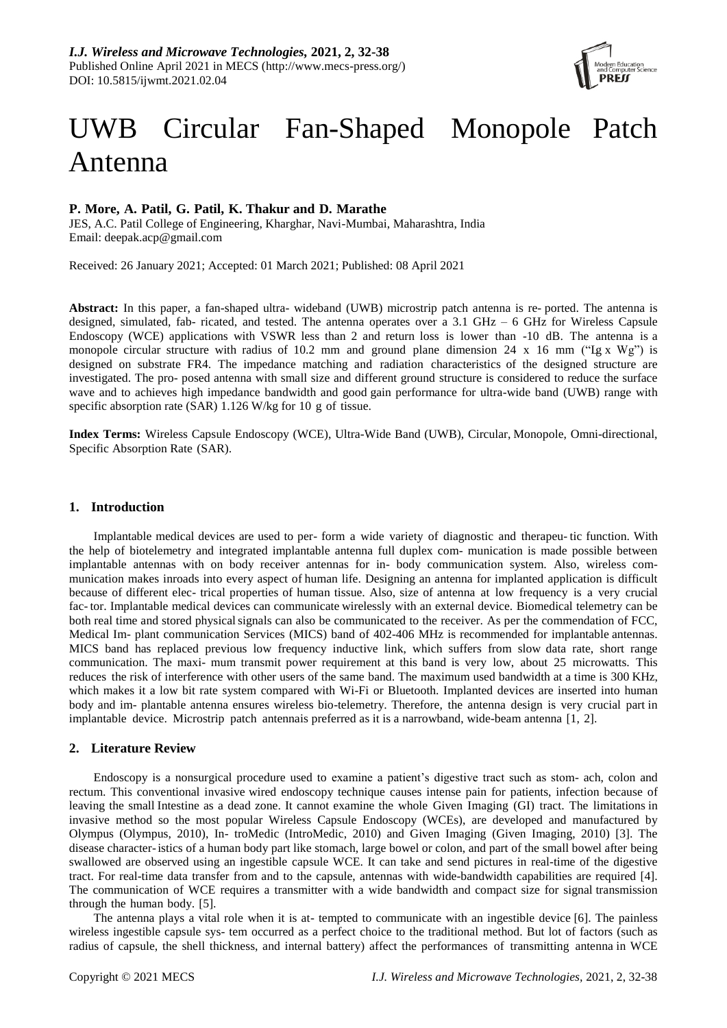

# UWB Circular Fan-Shaped Monopole Patch Antenna

## **P. More, A. Patil, G. Patil, K. Thakur and D. Marathe**

JES, A.C. Patil College of Engineering, Kharghar, Navi-Mumbai, Maharashtra, India Email: deepak.acp@gmail.com

Received: 26 January 2021; Accepted: 01 March 2021; Published: 08 April 2021

**Abstract:** In this paper, a fan-shaped ultra- wideband (UWB) microstrip patch antenna is re- ported. The antenna is designed, simulated, fab- ricated, and tested. The antenna operates over a 3.1 GHz – 6 GHz for Wireless Capsule Endoscopy (WCE) applications with VSWR less than 2 and return loss is lower than -10 dB. The antenna is a monopole circular structure with radius of 10.2 mm and ground plane dimension 24 x 16 mm (" $\lg x$  Wg") is designed on substrate FR4. The impedance matching and radiation characteristics of the designed structure are investigated. The pro- posed antenna with small size and different ground structure is considered to reduce the surface wave and to achieves high impedance bandwidth and good gain performance for ultra-wide band (UWB) range with specific absorption rate (SAR) 1.126 W/kg for 10 g of tissue.

**Index Terms:** Wireless Capsule Endoscopy (WCE), Ultra-Wide Band (UWB), Circular, Monopole, Omni-directional, Specific Absorption Rate (SAR).

## **1. Introduction**

Implantable medical devices are used to per- form a wide variety of diagnostic and therapeu- tic function. With the help of biotelemetry and integrated implantable antenna full duplex com- munication is made possible between implantable antennas with on body receiver antennas for in- body communication system. Also, wireless communication makes inroads into every aspect of human life. Designing an antenna for implanted application is difficult because of different elec- trical properties of human tissue. Also, size of antenna at low frequency is a very crucial fac- tor. Implantable medical devices can communicate wirelessly with an external device. Biomedical telemetry can be both real time and stored physical signals can also be communicated to the receiver. As per the commendation of FCC, Medical Im- plant communication Services (MICS) band of 402-406 MHz is recommended for implantable antennas. MICS band has replaced previous low frequency inductive link, which suffers from slow data rate, short range communication. The maxi- mum transmit power requirement at this band is very low, about 25 microwatts. This reduces the risk of interference with other users of the same band. The maximum used bandwidth at a time is 300 KHz, which makes it a low bit rate system compared with Wi-Fi or Bluetooth. Implanted devices are inserted into human body and im- plantable antenna ensures wireless bio-telemetry. Therefore, the antenna design is very crucial part in implantable device. Microstrip patch antennais preferred as it is a narrowband, wide-beam antenna [1, 2].

## **2. Literature Review**

Endoscopy is a nonsurgical procedure used to examine a patient's digestive tract such as stom- ach, colon and rectum. This conventional invasive wired endoscopy technique causes intense pain for patients, infection because of leaving the small Intestine as a dead zone. It cannot examine the whole Given Imaging (GI) tract. The limitations in invasive method so the most popular Wireless Capsule Endoscopy (WCEs), are developed and manufactured by Olympus (Olympus, 2010), In- troMedic (IntroMedic, 2010) and Given Imaging (Given Imaging, 2010) [3]. The disease character-istics of a human body part like stomach, large bowel or colon, and part of the small bowel after being swallowed are observed using an ingestible capsule WCE. It can take and send pictures in real-time of the digestive tract. For real-time data transfer from and to the capsule, antennas with wide-bandwidth capabilities are required [4]. The communication of WCE requires a transmitter with a wide bandwidth and compact size for signal transmission through the human body. [5].

The antenna plays a vital role when it is at- tempted to communicate with an ingestible device [6]. The painless wireless ingestible capsule sys- tem occurred as a perfect choice to the traditional method. But lot of factors (such as radius of capsule, the shell thickness, and internal battery) affect the performances of transmitting antenna in WCE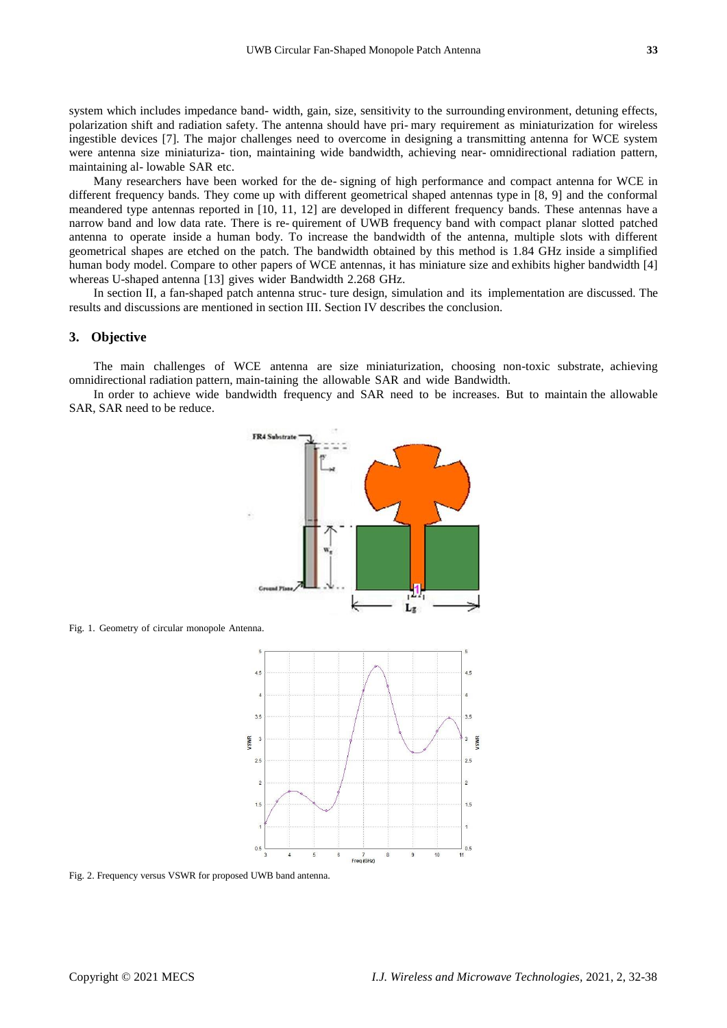system which includes impedance band- width, gain, size, sensitivity to the surrounding environment, detuning effects, polarization shift and radiation safety. The antenna should have pri- mary requirement as miniaturization for wireless ingestible devices [7]. The major challenges need to overcome in designing a transmitting antenna for WCE system were antenna size miniaturiza- tion, maintaining wide bandwidth, achieving near- omnidirectional radiation pattern, maintaining al- lowable SAR etc.

Many researchers have been worked for the de- signing of high performance and compact antenna for WCE in different frequency bands. They come up with different geometrical shaped antennas type in [8, 9] and the conformal meandered type antennas reported in [10, 11, 12] are developed in different frequency bands. These antennas have a narrow band and low data rate. There is re- quirement of UWB frequency band with compact planar slotted patched antenna to operate inside a human body. To increase the bandwidth of the antenna, multiple slots with different geometrical shapes are etched on the patch. The bandwidth obtained by this method is 1.84 GHz inside a simplified human body model. Compare to other papers of WCE antennas, it has miniature size and exhibits higher bandwidth [4] whereas U-shaped antenna [13] gives wider Bandwidth 2.268 GHz.

In section II, a fan-shaped patch antenna struc- ture design, simulation and its implementation are discussed. The results and discussions are mentioned in section III. Section IV describes the conclusion.

#### **3. Objective**

The main challenges of WCE antenna are size miniaturization, choosing non-toxic substrate, achieving omnidirectional radiation pattern, main-taining the allowable SAR and wide Bandwidth.

In order to achieve wide bandwidth frequency and SAR need to be increases. But to maintain the allowable SAR, SAR need to be reduce.



Fig. 1. Geometry of circular monopole Antenna.



Fig. 2. Frequency versus VSWR for proposed UWB band antenna.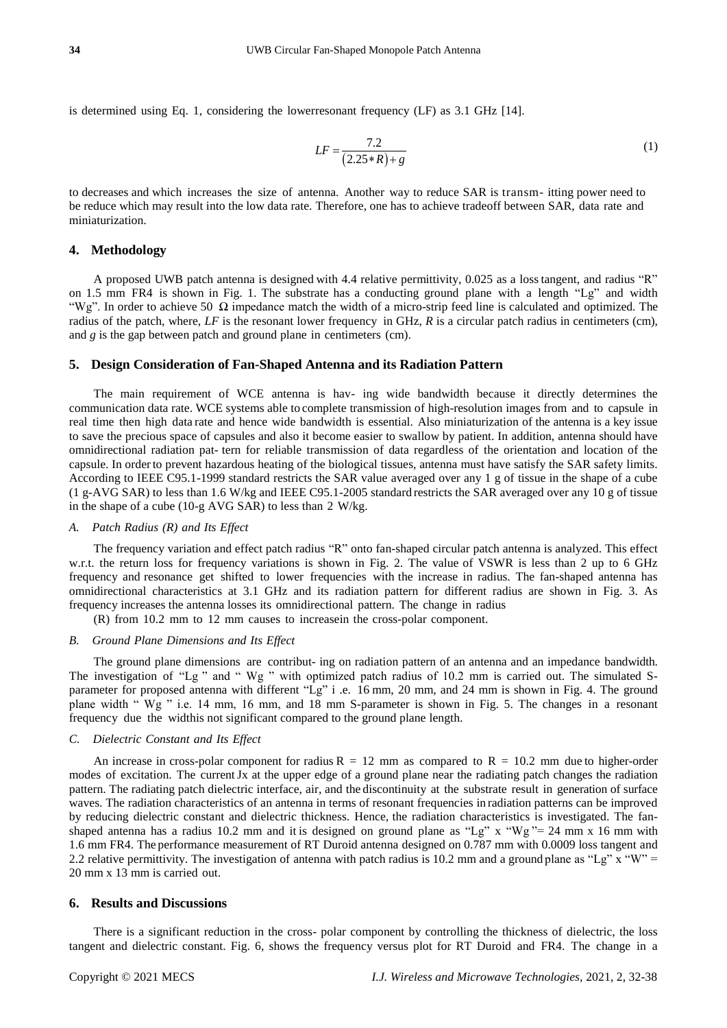is determined using Eq. 1, considering the lowerresonant frequency (LF) as 3.1 GHz [14].

$$
LF = \frac{7.2}{(2.25 * R) + g} \tag{1}
$$

to decreases and which increases the size of antenna. Another way to reduce SAR is transm- itting power need to be reduce which may result into the low data rate. Therefore, one has to achieve tradeoff between SAR, data rate and miniaturization.

## **4. Methodology**

A proposed UWB patch antenna is designed with 4.4 relative permittivity, 0.025 as a losstangent, and radius "R" on 1.5 mm FR4 is shown in Fig. 1. The substrate has a conducting ground plane with a length "Lg" and width "Wg". In order to achieve 50  $\Omega$  impedance match the width of a micro-strip feed line is calculated and optimized. The radius of the patch, where, *LF* is the resonant lower frequency in GHz, *R* is a circular patch radius in centimeters (cm), and *g* is the gap between patch and ground plane in centimeters (cm).

#### **5. Design Consideration of Fan-Shaped Antenna and its Radiation Pattern**

The main requirement of WCE antenna is hav- ing wide bandwidth because it directly determines the communication data rate. WCE systems able to complete transmission of high-resolution images from and to capsule in real time then high data rate and hence wide bandwidth is essential. Also miniaturization of the antenna is a key issue to save the precious space of capsules and also it become easier to swallow by patient. In addition, antenna should have omnidirectional radiation pat- tern for reliable transmission of data regardless of the orientation and location of the capsule. In orderto prevent hazardous heating of the biological tissues, antenna must have satisfy the SAR safety limits. According to IEEE C95.1-1999 standard restricts the SAR value averaged over any 1 g of tissue in the shape of a cube (1 g-AVG SAR) to less than 1.6 W/kg and IEEE C95.1-2005 standard restricts the SAR averaged over any 10 g of tissue in the shape of a cube (10-g AVG SAR) to less than 2 W/kg.

#### *A. Patch Radius (R) and Its Effect*

The frequency variation and effect patch radius "R" onto fan-shaped circular patch antenna is analyzed. This effect w.r.t. the return loss for frequency variations is shown in Fig. 2. The value of VSWR is less than 2 up to 6 GHz frequency and resonance get shifted to lower frequencies with the increase in radius. The fan-shaped antenna has omnidirectional characteristics at 3.1 GHz and its radiation pattern for different radius are shown in Fig. 3. As frequency increases the antenna losses its omnidirectional pattern. The change in radius

(R) from 10.2 mm to 12 mm causes to increasein the cross-polar component.

#### *B. Ground Plane Dimensions and Its Effect*

The ground plane dimensions are contribut- ing on radiation pattern of an antenna and an impedance bandwidth. The investigation of "Lg " and " Wg " with optimized patch radius of 10.2 mm is carried out. The simulated Sparameter for proposed antenna with different "Lg" i .e. 16 mm, 20 mm, and 24 mm is shown in Fig. 4. The ground plane width " Wg " i.e. 14 mm, 16 mm, and 18 mm S-parameter is shown in Fig. 5. The changes in a resonant frequency due the widthis not significant compared to the ground plane length.

#### *C. Dielectric Constant and Its Effect*

An increase in cross-polar component for radius  $R = 12$  mm as compared to  $R = 10.2$  mm due to higher-order modes of excitation. The current Jx at the upper edge of a ground plane near the radiating patch changes the radiation pattern. The radiating patch dielectric interface, air, and the discontinuity at the substrate result in generation of surface waves. The radiation characteristics of an antenna in terms of resonant frequencies in radiation patterns can be improved by reducing dielectric constant and dielectric thickness. Hence, the radiation characteristics is investigated. The fanshaped antenna has a radius 10.2 mm and it is designed on ground plane as "Lg" x "Wg" = 24 mm x 16 mm with 1.6 mm FR4. The performance measurement of RT Duroid antenna designed on 0.787 mm with 0.0009 loss tangent and 2.2 relative permittivity. The investigation of antenna with patch radius is 10.2 mm and a ground plane as "Lg" x "W" = 20 mm x 13 mm is carried out.

## **6. Results and Discussions**

There is a significant reduction in the cross- polar component by controlling the thickness of dielectric, the loss tangent and dielectric constant. Fig. 6, shows the frequency versus plot for RT Duroid and FR4. The change in a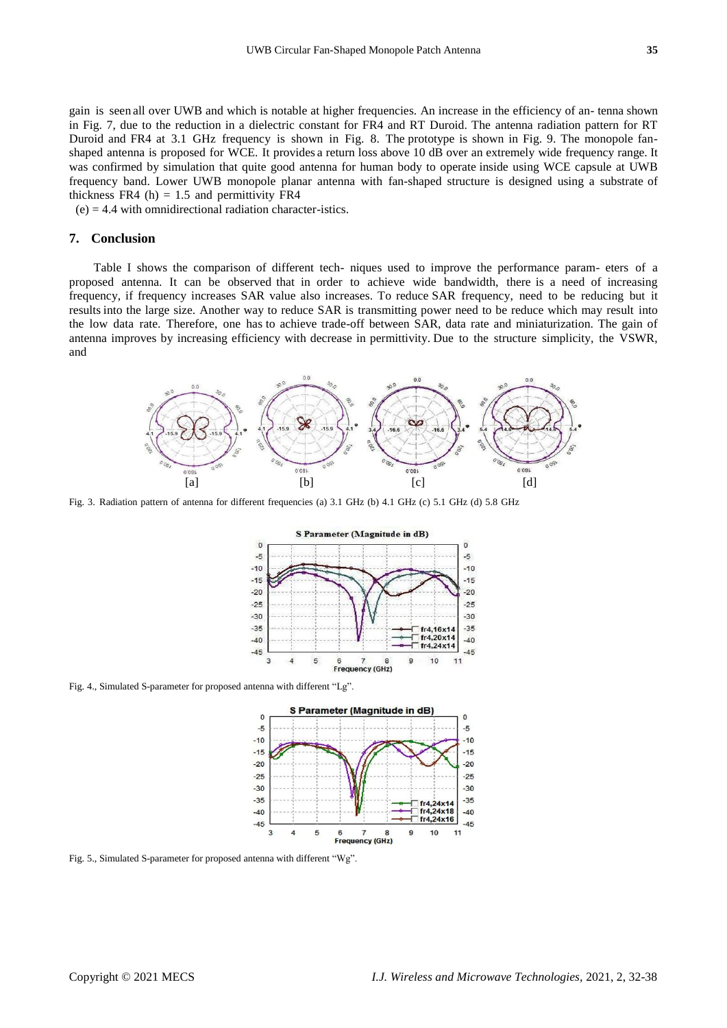gain is seen all over UWB and which is notable at higher frequencies. An increase in the efficiency of an- tenna shown in Fig. 7, due to the reduction in a dielectric constant for FR4 and RT Duroid. The antenna radiation pattern for RT Duroid and FR4 at 3.1 GHz frequency is shown in Fig. 8. The prototype is shown in Fig. 9. The monopole fanshaped antenna is proposed for WCE. It provides a return loss above 10 dB over an extremely wide frequency range. It was confirmed by simulation that quite good antenna for human body to operate inside using WCE capsule at UWB frequency band. Lower UWB monopole planar antenna with fan-shaped structure is designed using a substrate of thickness FR4 (h)  $= 1.5$  and permittivity FR4

 $(e) = 4.4$  with omnidirectional radiation character-istics.

#### **7. Conclusion**

Table I shows the comparison of different tech- niques used to improve the performance param- eters of a proposed antenna. It can be observed that in order to achieve wide bandwidth, there is a need of increasing frequency, if frequency increases SAR value also increases. To reduce SAR frequency, need to be reducing but it results into the large size. Another way to reduce SAR is transmitting power need to be reduce which may result into the low data rate. Therefore, one has to achieve trade-off between SAR, data rate and miniaturization. The gain of antenna improves by increasing efficiency with decrease in permittivity. Due to the structure simplicity, the VSWR, and



Fig. 3. Radiation pattern of antenna for different frequencies (a) 3.1 GHz (b) 4.1 GHz (c) 5.1 GHz (d) 5.8 GHz



Fig. 4., Simulated S-parameter for proposed antenna with different "Lg".



Fig. 5., Simulated S-parameter for proposed antenna with different "Wg".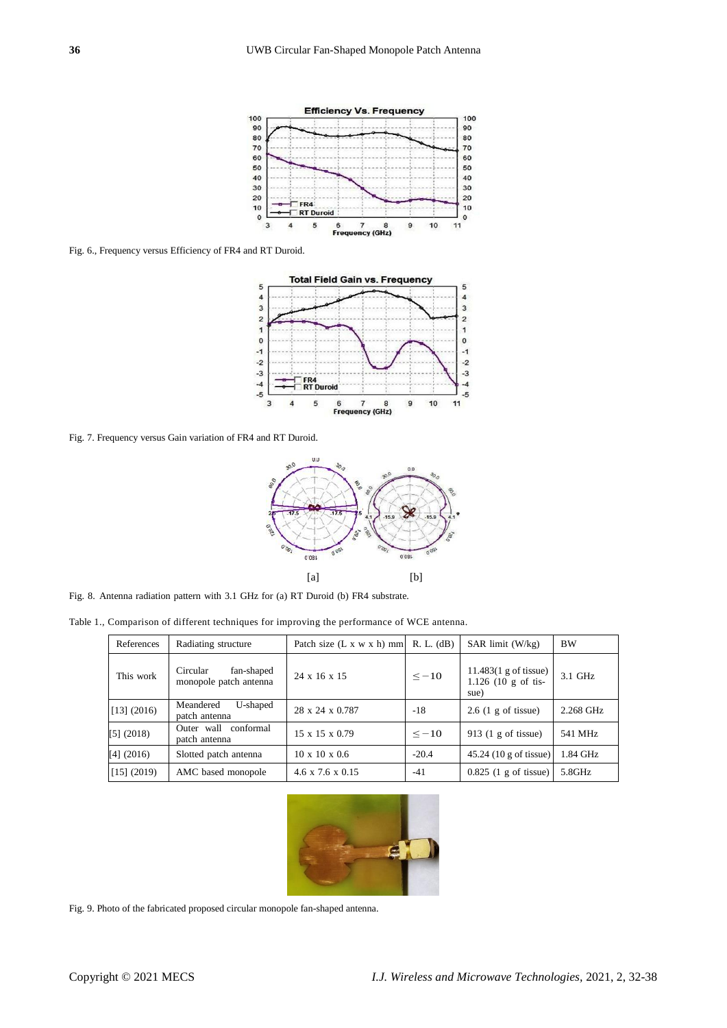

Fig. 6., Frequency versus Efficiency of FR4 and RT Duroid.



Fig. 7. Frequency versus Gain variation of FR4 and RT Duroid.



Fig. 8. Antenna radiation pattern with 3.1 GHz for (a) RT Duroid (b) FR4 substrate.

Table 1., Comparison of different techniques for improving the performance of WCE antenna.

| References  | Radiating structure                              | Patch size $(L x w x h)$ mm  | R. L. (dB) | $SAR$ limit $(W/kg)$                                             | <b>BW</b> |
|-------------|--------------------------------------------------|------------------------------|------------|------------------------------------------------------------------|-----------|
| This work   | Circular<br>fan-shaped<br>monopole patch antenna | 24 x 16 x 15                 | $\le -10$  | $11.483(1 \text{ g of tissue})$<br>$1.126$ (10 g of tis-<br>sue) | 3.1 GHz   |
| [13] (2016) | Meandered<br>U-shaped<br>patch antenna           | 28 x 24 x 0.787              | $-18$      | $2.6$ (1 g of tissue)                                            | 2.268 GHz |
| [5] (2018)  | Outer wall conformal<br>patch antenna            | 15 x 15 x 0.79               | $\le -10$  | 913 $(1 \text{ g of tissue})$                                    | 541 MHz   |
| [4] (2016)  | Slotted patch antenna                            | $10 \times 10 \times 0.6$    | $-20.4$    | $45.24(10 \text{ g of tissue})$                                  | 1.84 GHz  |
| [15] (2019) | AMC based monopole                               | $4.6 \times 7.6 \times 0.15$ | $-41$      | $0.825$ (1 g of tissue)                                          | 5.8GHz    |



Fig. 9. Photo of the fabricated proposed circular monopole fan-shaped antenna.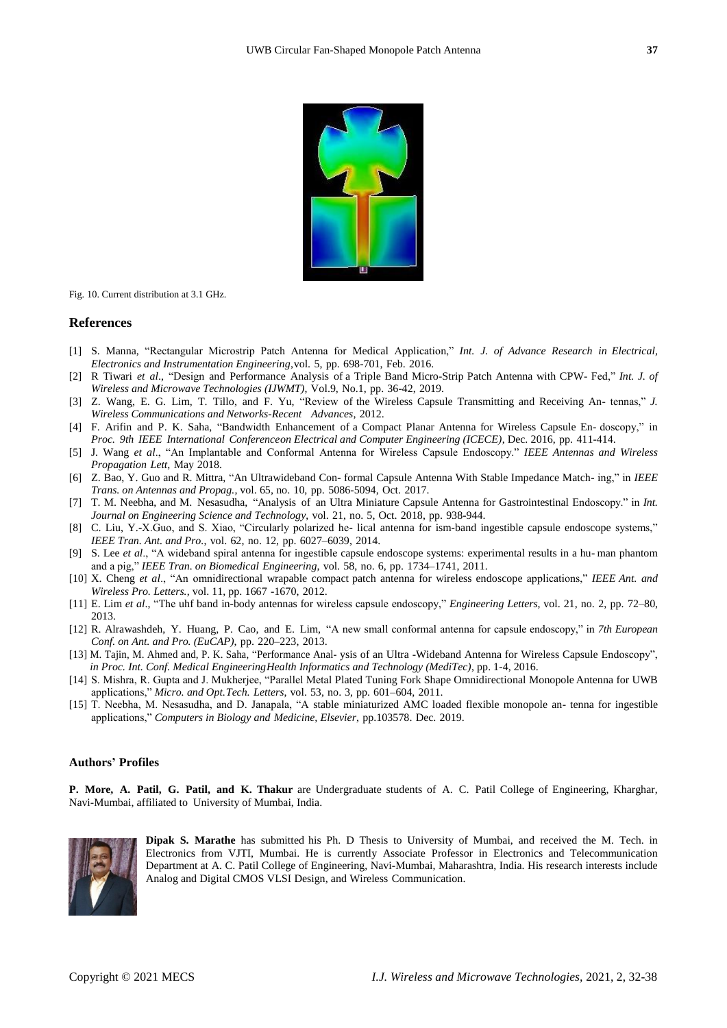

Fig. 10. Current distribution at 3.1 GHz.

#### **References**

- [1] S. Manna, "Rectangular Microstrip Patch Antenna for Medical Application," *Int. J. of Advance Research in Electrical, Electronics and Instrumentation Engineering*,vol. 5, pp. 698-701, Feb. 2016.
- [2] R Tiwari *et al*., "Design and Performance Analysis of a Triple Band Micro-Strip Patch Antenna with CPW- Fed," *Int. J. of Wireless and Microwave Technologies (IJWMT)*, Vol.9, No.1, pp. 36-42, 2019.
- [3] Z. Wang, E. G. Lim, T. Tillo, and F. Yu, "Review of the Wireless Capsule Transmitting and Receiving An- tennas," *J. Wireless Communications and Networks-Recent Advances*, 2012.
- [4] F. Arifin and P. K. Saha, "Bandwidth Enhancement of a Compact Planar Antenna for Wireless Capsule En- doscopy," in *Proc. 9th IEEE International Conferenceon Electrical and Computer Engineering (ICECE)*, Dec. 2016, pp. 411-414.
- [5] J. Wang *et al*., "An Implantable and Conformal Antenna for Wireless Capsule Endoscopy." *IEEE Antennas and Wireless Propagation Lett*, May 2018.
- [6] Z. Bao, Y. Guo and R. Mittra, "An Ultrawideband Con- formal Capsule Antenna With Stable Impedance Match- ing," in *IEEE Trans. on Antennas and Propag.*, vol. 65, no. 10, pp. 5086-5094, Oct. 2017.
- [7] T. M. Neebha, and M. Nesasudha, "Analysis of an Ultra Miniature Capsule Antenna for Gastrointestinal Endoscopy." in *Int. Journal on Engineering Science and Technology*, vol. 21, no. 5, Oct. 2018, pp. 938-944.
- [8] C. Liu, Y.-X.Guo, and S. Xiao, "Circularly polarized he- lical antenna for ism-band ingestible capsule endoscope systems," *IEEE Tran. Ant. and Pro.*, vol. 62, no. 12, pp. 6027–6039, 2014.
- [9] S. Lee *et al*., "A wideband spiral antenna for ingestible capsule endoscope systems: experimental results in a hu- man phantom and a pig," *IEEE Tran. on Biomedical Engineering*, vol. 58, no. 6, pp. 1734–1741, 2011.
- [10] X. Cheng *et al*., "An omnidirectional wrapable compact patch antenna for wireless endoscope applications," *IEEE Ant. and Wireless Pro. Letters.*, vol. 11, pp. 1667 -1670, 2012.
- [11] E. Lim *et al*., "The uhf band in-body antennas for wireless capsule endoscopy," *Engineering Letters*, vol. 21, no. 2, pp. 72–80, 2013.
- [12] R. Alrawashdeh, Y. Huang, P. Cao, and E. Lim, "A new small conformal antenna for capsule endoscopy," in *7th European Conf. on Ant. and Pro. (EuCAP)*, pp. 220–223, 2013.
- [13] M. Tajin, M. Ahmed and, P. K. Saha, "Performance Anal- ysis of an Ultra -Wideband Antenna for Wireless Capsule Endoscopy", *in Proc. Int. Conf. Medical EngineeringHealth Informatics and Technology (MediTec)*, pp. 1-4, 2016.
- [14] S. Mishra, R. Gupta and J. Mukherjee, "Parallel Metal Plated Tuning Fork Shape Omnidirectional Monopole Antenna for UWB applications," *Micro. and Opt.Tech. Letters*, vol. 53, no. 3, pp. 601–604, 2011.
- [15] T. Neebha, M. Nesasudha, and D. Janapala, "A stable miniaturized AMC loaded flexible monopole an- tenna for ingestible applications," *Computers in Biology and Medicine, Elsevier*, pp.103578. Dec. 2019.

#### **Authors' Profiles**

**P. More, A. Patil, G. Patil, and K. Thakur** are Undergraduate students of A. C. Patil College of Engineering, Kharghar, Navi-Mumbai, affiliated to University of Mumbai, India.



**Dipak S. Marathe** has submitted his Ph. D Thesis to University of Mumbai, and received the M. Tech. in Electronics from VJTI, Mumbai. He is currently Associate Professor in Electronics and Telecommunication Department at A. C. Patil College of Engineering, Navi-Mumbai, Maharashtra, India. His research interests include Analog and Digital CMOS VLSI Design, and Wireless Communication.